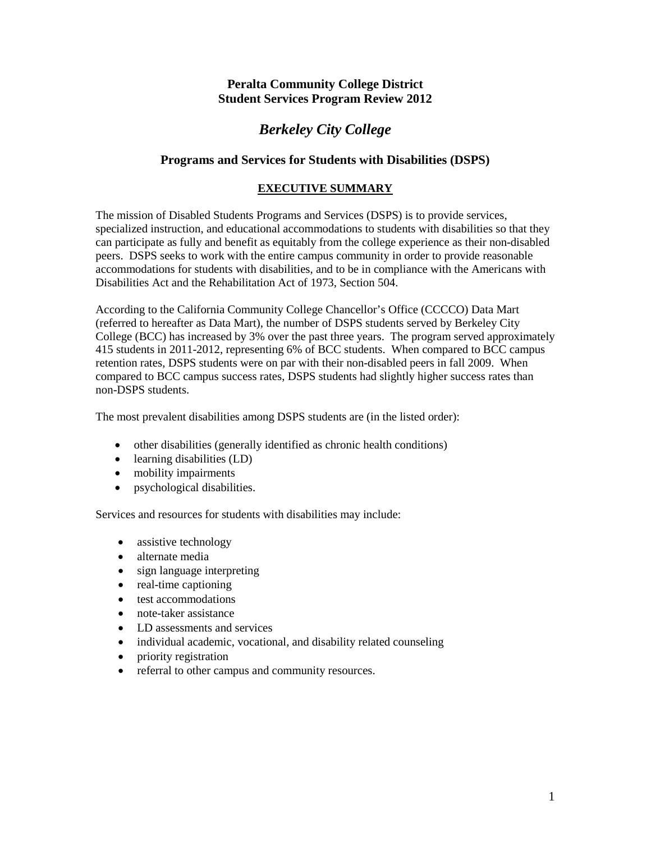# **Peralta Community College District Student Services Program Review 2012**

# *Berkeley City College*

# **Programs and Services for Students with Disabilities (DSPS)**

# **EXECUTIVE SUMMARY**

The mission of Disabled Students Programs and Services (DSPS) is to provide services, specialized instruction, and educational accommodations to students with disabilities so that they can participate as fully and benefit as equitably from the college experience as their non-disabled peers. DSPS seeks to work with the entire campus community in order to provide reasonable accommodations for students with disabilities, and to be in compliance with the Americans with Disabilities Act and the Rehabilitation Act of 1973, Section 504.

According to the California Community College Chancellor's Office (CCCCO) Data Mart (referred to hereafter as Data Mart), the number of DSPS students served by Berkeley City College (BCC) has increased by 3% over the past three years. The program served approximately 415 students in 2011-2012, representing 6% of BCC students. When compared to BCC campus retention rates, DSPS students were on par with their non-disabled peers in fall 2009. When compared to BCC campus success rates, DSPS students had slightly higher success rates than non-DSPS students.

The most prevalent disabilities among DSPS students are (in the listed order):

- other disabilities (generally identified as chronic health conditions)
- learning disabilities (LD)
- mobility impairments
- psychological disabilities.

Services and resources for students with disabilities may include:

- assistive technology
- alternate media
- sign language interpreting
- real-time captioning
- test accommodations
- note-taker assistance
- LD assessments and services
- individual academic, vocational, and disability related counseling
- priority registration
- referral to other campus and community resources.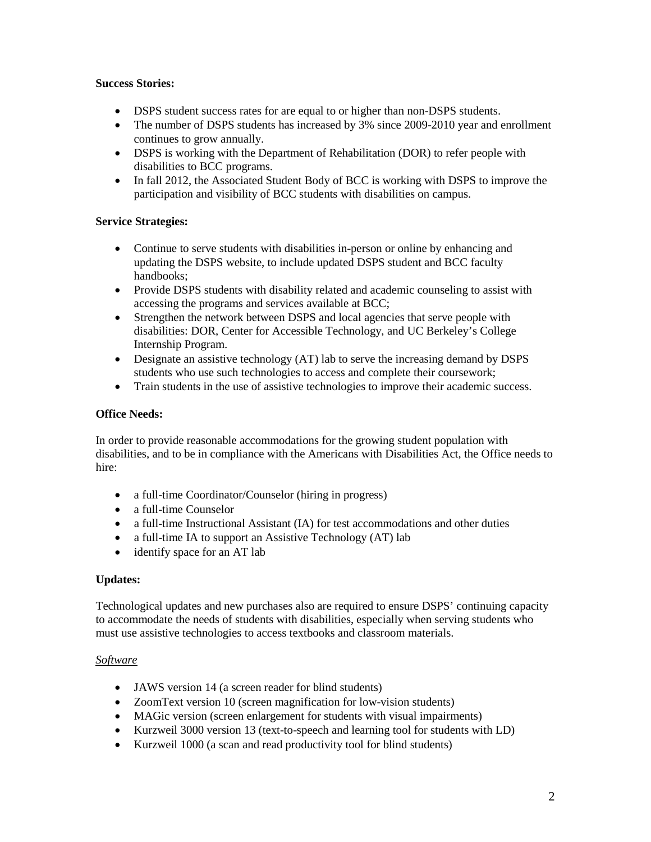## **Success Stories:**

- DSPS student success rates for are equal to or higher than non-DSPS students.
- The number of DSPS students has increased by 3% since 2009-2010 year and enrollment continues to grow annually.
- DSPS is working with the Department of Rehabilitation (DOR) to refer people with disabilities to BCC programs.
- In fall 2012, the Associated Student Body of BCC is working with DSPS to improve the participation and visibility of BCC students with disabilities on campus.

# **Service Strategies:**

- Continue to serve students with disabilities in-person or online by enhancing and updating the DSPS website, to include updated DSPS student and BCC faculty handbooks;
- Provide DSPS students with disability related and academic counseling to assist with accessing the programs and services available at BCC;
- Strengthen the network between DSPS and local agencies that serve people with disabilities: DOR, Center for Accessible Technology, and UC Berkeley's College Internship Program.
- Designate an assistive technology (AT) lab to serve the increasing demand by DSPS students who use such technologies to access and complete their coursework;
- Train students in the use of assistive technologies to improve their academic success.

# **Office Needs:**

In order to provide reasonable accommodations for the growing student population with disabilities, and to be in compliance with the Americans with Disabilities Act, the Office needs to hire:

- a full-time Coordinator/Counselor (hiring in progress)
- a full-time Counselor
- a full-time Instructional Assistant (IA) for test accommodations and other duties
- a full-time IA to support an Assistive Technology (AT) lab
- identify space for an AT lab

### **Updates:**

Technological updates and new purchases also are required to ensure DSPS' continuing capacity to accommodate the needs of students with disabilities, especially when serving students who must use assistive technologies to access textbooks and classroom materials.

### *Software*

- JAWS version 14 (a screen reader for blind students)
- ZoomText version 10 (screen magnification for low-vision students)
- MAGic version (screen enlargement for students with visual impairments)
- Kurzweil 3000 version 13 (text-to-speech and learning tool for students with LD)
- Kurzweil 1000 (a scan and read productivity tool for blind students)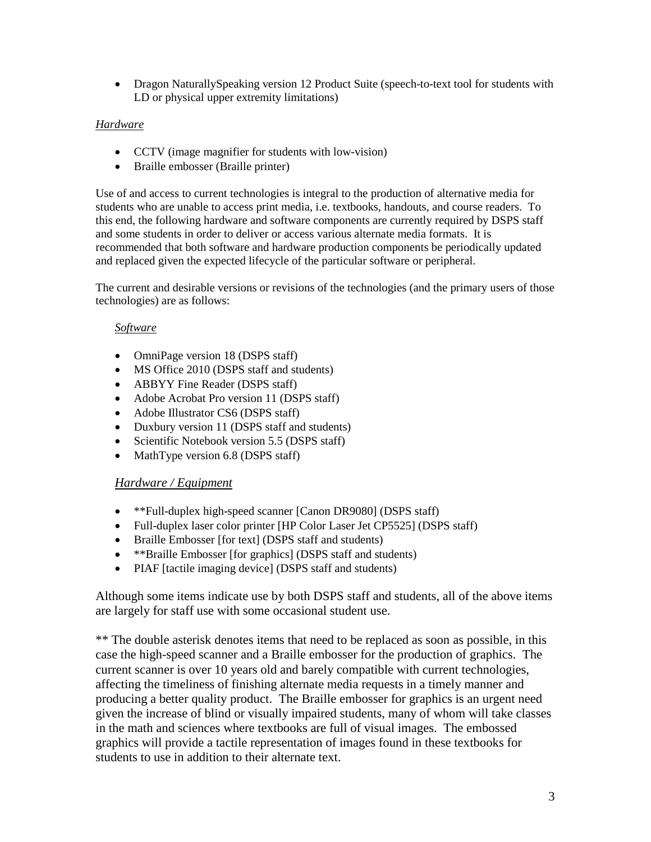• Dragon NaturallySpeaking version 12 Product Suite (speech-to-text tool for students with LD or physical upper extremity limitations)

# *Hardware*

- CCTV (image magnifier for students with low-vision)
- Braille embosser (Braille printer)

Use of and access to current technologies is integral to the production of alternative media for students who are unable to access print media, i.e. textbooks, handouts, and course readers. To this end, the following hardware and software components are currently required by DSPS staff and some students in order to deliver or access various alternate media formats. It is recommended that both software and hardware production components be periodically updated and replaced given the expected lifecycle of the particular software or peripheral.

The current and desirable versions or revisions of the technologies (and the primary users of those technologies) are as follows:

# *Software*

- OmniPage version 18 (DSPS staff)
- MS Office 2010 (DSPS staff and students)
- ABBYY Fine Reader (DSPS staff)
- Adobe Acrobat Pro version 11 (DSPS staff)
- Adobe Illustrator CS6 (DSPS staff)
- Duxbury version 11 (DSPS staff and students)
- Scientific Notebook version 5.5 (DSPS staff)
- MathType version 6.8 (DSPS staff)

# *Hardware / Equipment*

- \*\*Full-duplex high-speed scanner [Canon DR9080] (DSPS staff)
- Full-duplex laser color printer [HP Color Laser Jet CP5525] (DSPS staff)
- Braille Embosser [for text] (DSPS staff and students)
- \*\*Braille Embosser [for graphics] (DSPS staff and students)
- PIAF [tactile imaging device] (DSPS staff and students)

Although some items indicate use by both DSPS staff and students, all of the above items are largely for staff use with some occasional student use.

\*\* The double asterisk denotes items that need to be replaced as soon as possible, in this case the high-speed scanner and a Braille embosser for the production of graphics. The current scanner is over 10 years old and barely compatible with current technologies, affecting the timeliness of finishing alternate media requests in a timely manner and producing a better quality product. The Braille embosser for graphics is an urgent need given the increase of blind or visually impaired students, many of whom will take classes in the math and sciences where textbooks are full of visual images. The embossed graphics will provide a tactile representation of images found in these textbooks for students to use in addition to their alternate text.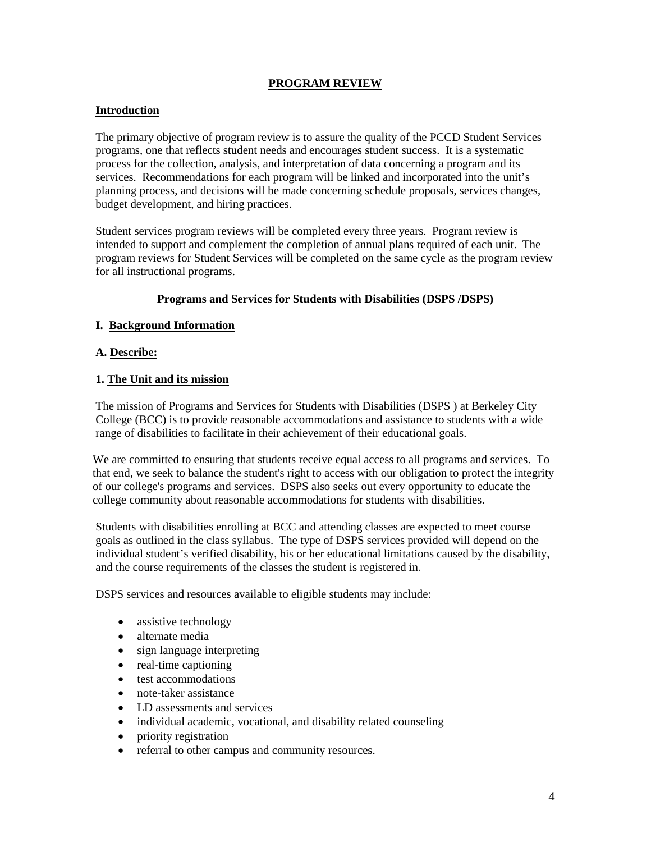# **PROGRAM REVIEW**

## **Introduction**

The primary objective of program review is to assure the quality of the PCCD Student Services programs, one that reflects student needs and encourages student success. It is a systematic process for the collection, analysis, and interpretation of data concerning a program and its services. Recommendations for each program will be linked and incorporated into the unit's planning process, and decisions will be made concerning schedule proposals, services changes, budget development, and hiring practices.

Student services program reviews will be completed every three years. Program review is intended to support and complement the completion of annual plans required of each unit. The program reviews for Student Services will be completed on the same cycle as the program review for all instructional programs.

# **Programs and Services for Students with Disabilities (DSPS /DSPS)**

# **I. Background Information**

### **A. Describe:**

# **1. The Unit and its mission**

The mission of Programs and Services for Students with Disabilities (DSPS ) at Berkeley City College (BCC) is to provide reasonable accommodations and assistance to students with a wide range of disabilities to facilitate in their achievement of their educational goals.

We are committed to ensuring that students receive equal access to all programs and services. To that end, we seek to balance the student's right to access with our obligation to protect the integrity of our college's programs and services. DSPS also seeks out every opportunity to educate the college community about reasonable accommodations for students with disabilities.

Students with disabilities enrolling at BCC and attending classes are expected to meet course goals as outlined in the class syllabus. The type of DSPS services provided will depend on the individual student's verified disability, his or her educational limitations caused by the disability, and the course requirements of the classes the student is registered in.

DSPS services and resources available to eligible students may include:

- assistive technology
- alternate media
- sign language interpreting
- real-time captioning
- test accommodations
- note-taker assistance
- LD assessments and services
- individual academic, vocational, and disability related counseling
- priority registration
- referral to other campus and community resources.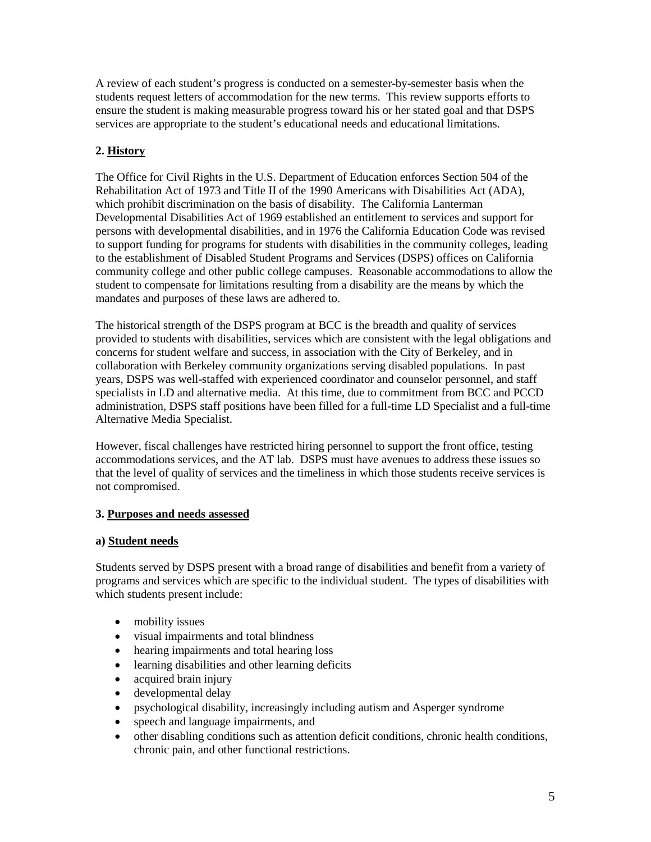A review of each student's progress is conducted on a semester-by-semester basis when the students request letters of accommodation for the new terms. This review supports efforts to ensure the student is making measurable progress toward his or her stated goal and that DSPS services are appropriate to the student's educational needs and educational limitations.

# **2. History**

The Office for Civil Rights in the U.S. Department of Education enforces Section 504 of the Rehabilitation Act of 1973 and Title II of the 1990 Americans with Disabilities Act (ADA), which prohibit discrimination on the basis of disability. The California Lanterman Developmental Disabilities Act of 1969 established an entitlement to services and support for persons with developmental disabilities, and in 1976 the California Education Code was revised to support funding for programs for students with disabilities in the community colleges, leading to the establishment of Disabled Student Programs and Services (DSPS) offices on California community college and other public college campuses. Reasonable accommodations to allow the student to compensate for limitations resulting from a disability are the means by which the mandates and purposes of these laws are adhered to.

The historical strength of the DSPS program at BCC is the breadth and quality of services provided to students with disabilities, services which are consistent with the legal obligations and concerns for student welfare and success, in association with the City of Berkeley, and in collaboration with Berkeley community organizations serving disabled populations. In past years, DSPS was well-staffed with experienced coordinator and counselor personnel, and staff specialists in LD and alternative media. At this time, due to commitment from BCC and PCCD administration, DSPS staff positions have been filled for a full-time LD Specialist and a full-time Alternative Media Specialist.

However, fiscal challenges have restricted hiring personnel to support the front office, testing accommodations services, and the AT lab. DSPS must have avenues to address these issues so that the level of quality of services and the timeliness in which those students receive services is not compromised.

# **3. Purposes and needs assessed**

### **a) Student needs**

Students served by DSPS present with a broad range of disabilities and benefit from a variety of programs and services which are specific to the individual student. The types of disabilities with which students present include:

- mobility issues
- visual impairments and total blindness
- hearing impairments and total hearing loss
- learning disabilities and other learning deficits
- acquired brain injury
- developmental delay
- psychological disability, increasingly including autism and Asperger syndrome
- speech and language impairments, and
- other disabling conditions such as attention deficit conditions, chronic health conditions, chronic pain, and other functional restrictions.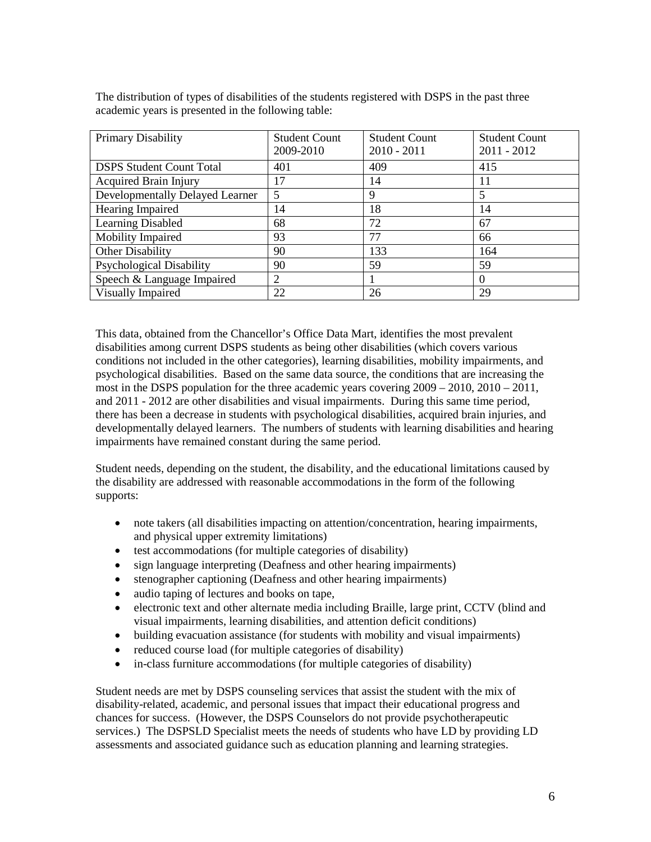| Primary Disability              | <b>Student Count</b><br>2009-2010 | <b>Student Count</b><br>$2010 - 2011$ | <b>Student Count</b><br>$2011 - 2012$ |
|---------------------------------|-----------------------------------|---------------------------------------|---------------------------------------|
| <b>DSPS Student Count Total</b> | 401                               | 409                                   | 415                                   |
| <b>Acquired Brain Injury</b>    | 17                                | 14                                    | 11                                    |
| Developmentally Delayed Learner | 5                                 | Ч                                     | 5                                     |
| Hearing Impaired                | 14                                | 18                                    | 14                                    |
| Learning Disabled               | 68                                | 72                                    | 67                                    |
| Mobility Impaired               | 93                                | 77                                    | 66                                    |
| <b>Other Disability</b>         | 90                                | 133                                   | 164                                   |
| <b>Psychological Disability</b> | 90                                | 59                                    | 59                                    |
| Speech & Language Impaired      | $\overline{2}$                    |                                       | $\Omega$                              |
| Visually Impaired               | 22                                | 26                                    | 29                                    |

The distribution of types of disabilities of the students registered with DSPS in the past three academic years is presented in the following table:

This data, obtained from the Chancellor's Office Data Mart, identifies the most prevalent disabilities among current DSPS students as being other disabilities (which covers various conditions not included in the other categories), learning disabilities, mobility impairments, and psychological disabilities. Based on the same data source, the conditions that are increasing the most in the DSPS population for the three academic years covering 2009 – 2010, 2010 – 2011, and 2011 - 2012 are other disabilities and visual impairments. During this same time period, there has been a decrease in students with psychological disabilities, acquired brain injuries, and developmentally delayed learners. The numbers of students with learning disabilities and hearing impairments have remained constant during the same period.

Student needs, depending on the student, the disability, and the educational limitations caused by the disability are addressed with reasonable accommodations in the form of the following supports:

- note takers (all disabilities impacting on attention/concentration, hearing impairments, and physical upper extremity limitations)
- test accommodations (for multiple categories of disability)
- sign language interpreting (Deafness and other hearing impairments)
- stenographer captioning (Deafness and other hearing impairments)
- audio taping of lectures and books on tape,
- electronic text and other alternate media including Braille, large print, CCTV (blind and visual impairments, learning disabilities, and attention deficit conditions)
- building evacuation assistance (for students with mobility and visual impairments)
- reduced course load (for multiple categories of disability)
- in-class furniture accommodations (for multiple categories of disability)

Student needs are met by DSPS counseling services that assist the student with the mix of disability-related, academic, and personal issues that impact their educational progress and chances for success. (However, the DSPS Counselors do not provide psychotherapeutic services.) The DSPSLD Specialist meets the needs of students who have LD by providing LD assessments and associated guidance such as education planning and learning strategies.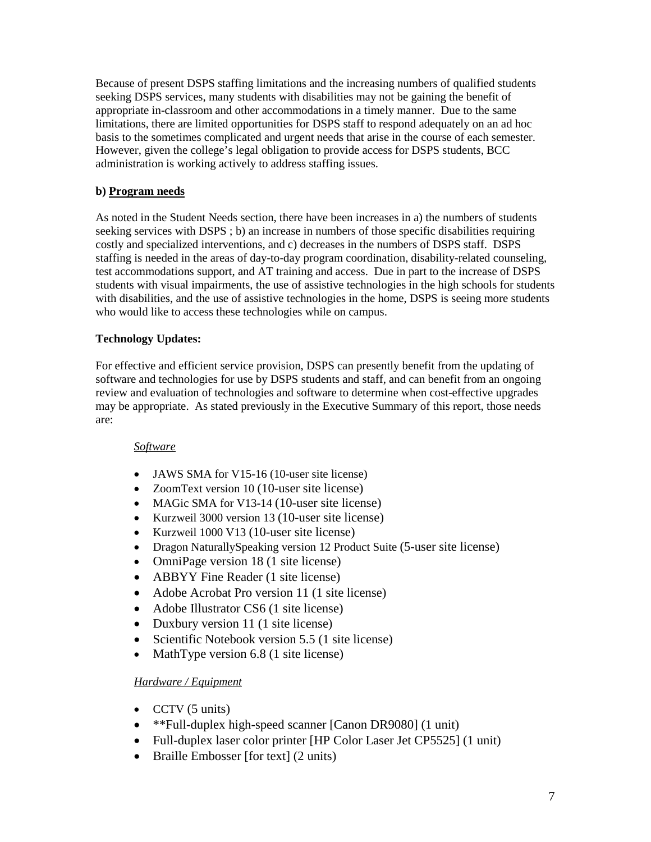Because of present DSPS staffing limitations and the increasing numbers of qualified students seeking DSPS services, many students with disabilities may not be gaining the benefit of appropriate in-classroom and other accommodations in a timely manner. Due to the same limitations, there are limited opportunities for DSPS staff to respond adequately on an ad hoc basis to the sometimes complicated and urgent needs that arise in the course of each semester. However, given the college's legal obligation to provide access for DSPS students, BCC administration is working actively to address staffing issues.

# **b) Program needs**

As noted in the Student Needs section, there have been increases in a) the numbers of students seeking services with DSPS ; b) an increase in numbers of those specific disabilities requiring costly and specialized interventions, and c) decreases in the numbers of DSPS staff. DSPS staffing is needed in the areas of day-to-day program coordination, disability-related counseling, test accommodations support, and AT training and access. Due in part to the increase of DSPS students with visual impairments, the use of assistive technologies in the high schools for students with disabilities, and the use of assistive technologies in the home, DSPS is seeing more students who would like to access these technologies while on campus.

# **Technology Updates:**

For effective and efficient service provision, DSPS can presently benefit from the updating of software and technologies for use by DSPS students and staff, and can benefit from an ongoing review and evaluation of technologies and software to determine when cost-effective upgrades may be appropriate. As stated previously in the Executive Summary of this report, those needs are:

# *Software*

- JAWS SMA for V15-16 (10-user site license)
- ZoomText version 10 (10-user site license)
- MAGic SMA for V13-14 (10-user site license)
- Kurzweil 3000 version 13 (10-user site license)
- Kurzweil 1000 V13 (10-user site license)
- Dragon NaturallySpeaking version 12 Product Suite (5-user site license)
- OmniPage version 18 (1 site license)
- ABBYY Fine Reader (1 site license)
- Adobe Acrobat Pro version 11 (1 site license)
- Adobe Illustrator CS6 (1 site license)
- Duxbury version 11 (1 site license)
- Scientific Notebook version 5.5 (1 site license)
- MathType version 6.8 (1 site license)

# *Hardware / Equipment*

- CCTV (5 units)
- \*\*Full-duplex high-speed scanner [Canon DR9080] (1 unit)
- Full-duplex laser color printer [HP Color Laser Jet CP5525] (1 unit)
- Braille Embosser [for text] (2 units)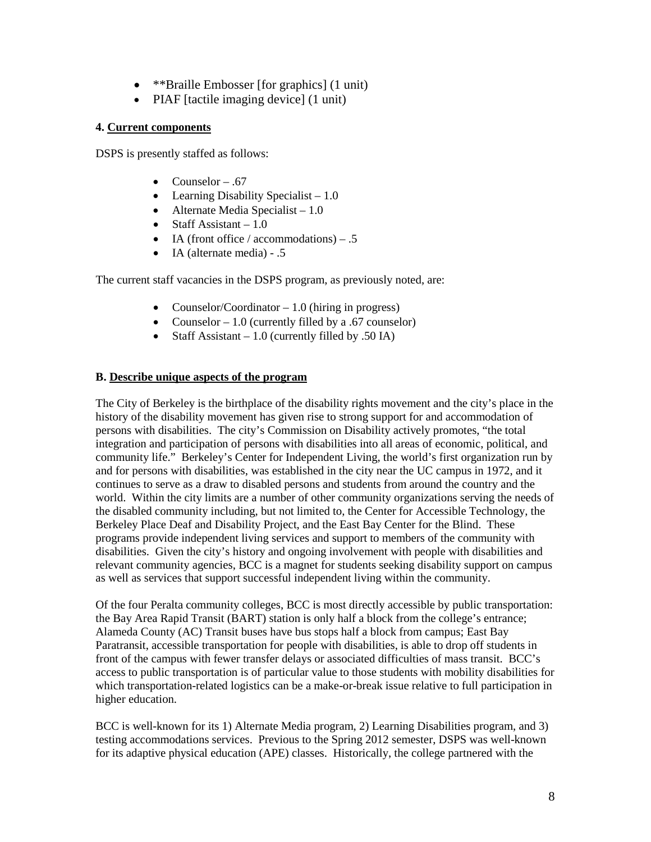- \*\*Braille Embosser [for graphics] (1 unit)
- PIAF [tactile imaging device] (1 unit)

# **4. Current components**

DSPS is presently staffed as follows:

- Counselor .67
- Learning Disability Specialist  $-1.0$
- Alternate Media Specialist  $-1.0$
- Staff Assistant  $-1.0$
- IA (front office / accommodations)  $.5$
- IA (alternate media) .5

The current staff vacancies in the DSPS program, as previously noted, are:

- Counselor/Coordinator 1.0 (hiring in progress)
- Counselor 1.0 (currently filled by a .67 counselor)
- Staff Assistant  $-1.0$  (currently filled by .50 IA)

### **B. Describe unique aspects of the program**

The City of Berkeley is the birthplace of the disability rights movement and the city's place in the history of the disability movement has given rise to strong support for and accommodation of persons with disabilities. The city's Commission on Disability actively promotes, "the total integration and participation of persons with disabilities into all areas of economic, political, and community life." Berkeley's Center for Independent Living, the world's first organization run by and for persons with disabilities, was established in the city near the UC campus in 1972, and it continues to serve as a draw to disabled persons and students from around the country and the world. Within the city limits are a number of other community organizations serving the needs of the disabled community including, but not limited to, the Center for Accessible Technology, the Berkeley Place Deaf and Disability Project, and the East Bay Center for the Blind. These programs provide independent living services and support to members of the community with disabilities. Given the city's history and ongoing involvement with people with disabilities and relevant community agencies, BCC is a magnet for students seeking disability support on campus as well as services that support successful independent living within the community.

Of the four Peralta community colleges, BCC is most directly accessible by public transportation: the Bay Area Rapid Transit (BART) station is only half a block from the college's entrance; Alameda County (AC) Transit buses have bus stops half a block from campus; East Bay Paratransit, accessible transportation for people with disabilities, is able to drop off students in front of the campus with fewer transfer delays or associated difficulties of mass transit. BCC's access to public transportation is of particular value to those students with mobility disabilities for which transportation-related logistics can be a make-or-break issue relative to full participation in higher education.

BCC is well-known for its 1) Alternate Media program, 2) Learning Disabilities program, and 3) testing accommodations services. Previous to the Spring 2012 semester, DSPS was well-known for its adaptive physical education (APE) classes. Historically, the college partnered with the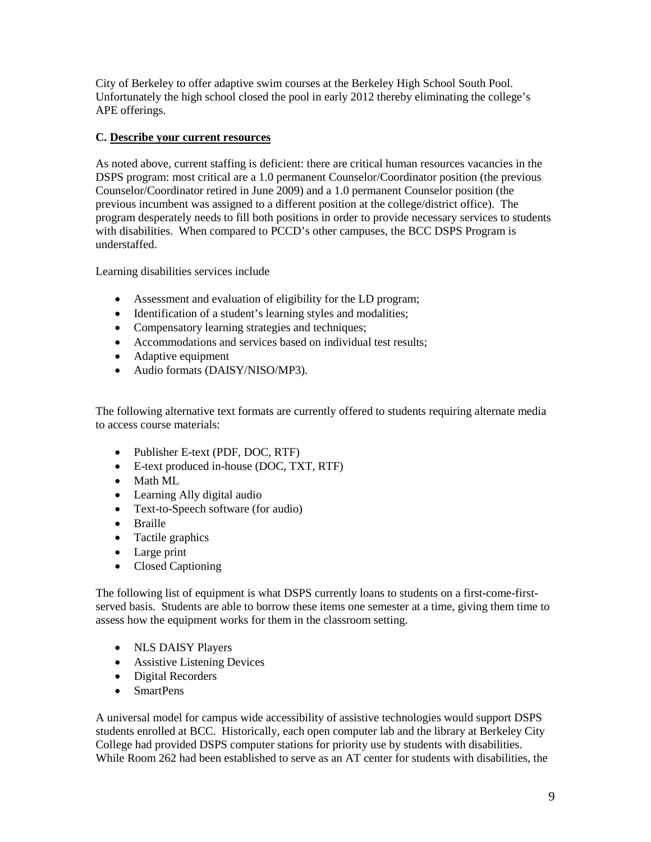City of Berkeley to offer adaptive swim courses at the Berkeley High School South Pool. Unfortunately the high school closed the pool in early 2012 thereby eliminating the college's APE offerings.

# **C. Describe your current resources**

As noted above, current staffing is deficient: there are critical human resources vacancies in the DSPS program: most critical are a 1.0 permanent Counselor/Coordinator position (the previous Counselor/Coordinator retired in June 2009) and a 1.0 permanent Counselor position (the previous incumbent was assigned to a different position at the college/district office). The program desperately needs to fill both positions in order to provide necessary services to students with disabilities. When compared to PCCD's other campuses, the BCC DSPS Program is understaffed.

Learning disabilities services include

- Assessment and evaluation of eligibility for the LD program;
- Identification of a student's learning styles and modalities;
- Compensatory learning strategies and techniques;
- Accommodations and services based on individual test results;
- Adaptive equipment
- Audio formats (DAISY/NISO/MP3).

The following alternative text formats are currently offered to students requiring alternate media to access course materials:

- Publisher E-text (PDF, DOC, RTF)
- E-text produced in-house (DOC, TXT, RTF)
- Math ML
- Learning Ally digital audio
- Text-to-Speech software (for audio)
- Braille
- Tactile graphics
- Large print
- Closed Captioning

The following list of equipment is what DSPS currently loans to students on a first-come-firstserved basis. Students are able to borrow these items one semester at a time, giving them time to assess how the equipment works for them in the classroom setting.

- NLS DAISY Players
- Assistive Listening Devices
- Digital Recorders
- SmartPens

A universal model for campus wide accessibility of assistive technologies would support DSPS students enrolled at BCC. Historically, each open computer lab and the library at Berkeley City College had provided DSPS computer stations for priority use by students with disabilities. While Room 262 had been established to serve as an AT center for students with disabilities, the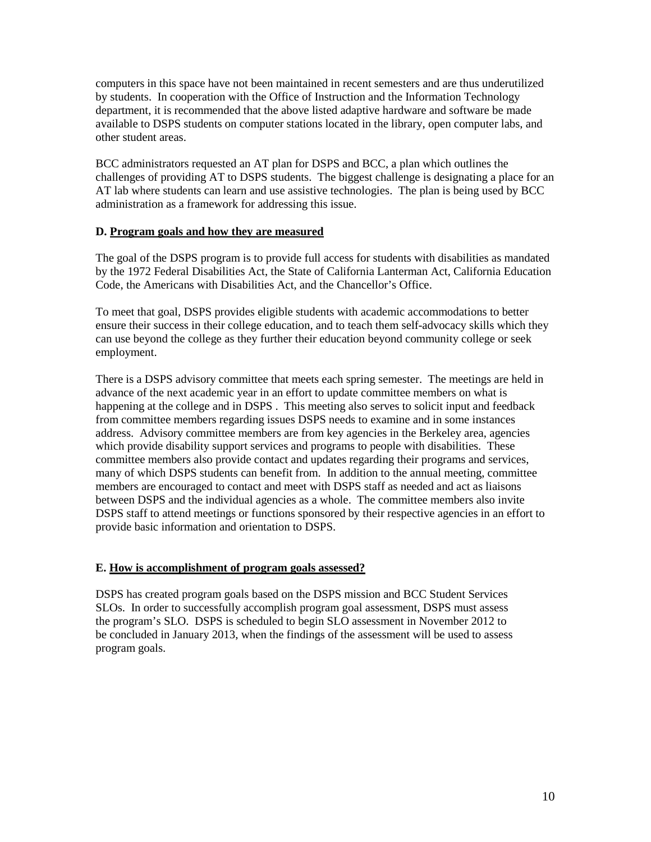computers in this space have not been maintained in recent semesters and are thus underutilized by students. In cooperation with the Office of Instruction and the Information Technology department, it is recommended that the above listed adaptive hardware and software be made available to DSPS students on computer stations located in the library, open computer labs, and other student areas.

BCC administrators requested an AT plan for DSPS and BCC, a plan which outlines the challenges of providing AT to DSPS students. The biggest challenge is designating a place for an AT lab where students can learn and use assistive technologies. The plan is being used by BCC administration as a framework for addressing this issue.

# **D. Program goals and how they are measured**

The goal of the DSPS program is to provide full access for students with disabilities as mandated by the 1972 Federal Disabilities Act, the State of California Lanterman Act, California Education Code, the Americans with Disabilities Act, and the Chancellor's Office.

To meet that goal, DSPS provides eligible students with academic accommodations to better ensure their success in their college education, and to teach them self-advocacy skills which they can use beyond the college as they further their education beyond community college or seek employment.

There is a DSPS advisory committee that meets each spring semester. The meetings are held in advance of the next academic year in an effort to update committee members on what is happening at the college and in DSPS . This meeting also serves to solicit input and feedback from committee members regarding issues DSPS needs to examine and in some instances address. Advisory committee members are from key agencies in the Berkeley area, agencies which provide disability support services and programs to people with disabilities. These committee members also provide contact and updates regarding their programs and services, many of which DSPS students can benefit from. In addition to the annual meeting, committee members are encouraged to contact and meet with DSPS staff as needed and act as liaisons between DSPS and the individual agencies as a whole. The committee members also invite DSPS staff to attend meetings or functions sponsored by their respective agencies in an effort to provide basic information and orientation to DSPS.

### **E. How is accomplishment of program goals assessed?**

DSPS has created program goals based on the DSPS mission and BCC Student Services SLOs. In order to successfully accomplish program goal assessment, DSPS must assess the program's SLO. DSPS is scheduled to begin SLO assessment in November 2012 to be concluded in January 2013, when the findings of the assessment will be used to assess program goals.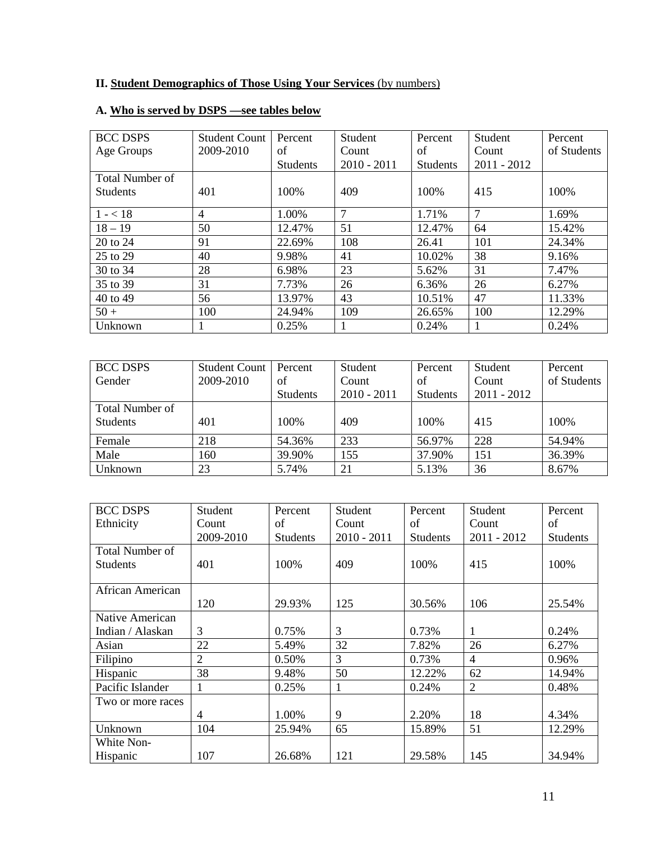# **II. Student Demographics of Those Using Your Services** (by numbers)

| <b>BCC DSPS</b> | <b>Student Count</b> | Percent         | Student        | Percent         | Student       | Percent     |
|-----------------|----------------------|-----------------|----------------|-----------------|---------------|-------------|
| Age Groups      | 2009-2010            | οf              | Count          | of              | Count         | of Students |
|                 |                      | <b>Students</b> | $2010 - 2011$  | <b>Students</b> | $2011 - 2012$ |             |
| Total Number of |                      |                 |                |                 |               |             |
| <b>Students</b> | 401                  | 100%            | 409            | 100%            | 415           | 100%        |
|                 |                      |                 |                |                 |               |             |
| $1 - < 18$      | 4                    | 1.00%           | $\overline{7}$ | 1.71%           | 7             | 1.69%       |
| $18 - 19$       | 50                   | 12.47%          | 51             | 12.47%          | 64            | 15.42%      |
| 20 to 24        | 91                   | 22.69%          | 108            | 26.41           | 101           | 24.34%      |
| 25 to 29        | 40                   | 9.98%           | 41             | 10.02%          | 38            | 9.16%       |
| 30 to 34        | 28                   | 6.98%           | 23             | 5.62%           | 31            | 7.47%       |
| 35 to 39        | 31                   | 7.73%           | 26             | 6.36%           | 26            | 6.27%       |
| 40 to 49        | 56                   | 13.97%          | 43             | 10.51%          | 47            | 11.33%      |
| $50 +$          | 100                  | 24.94%          | 109            | 26.65%          | 100           | 12.29%      |
| Unknown         |                      | 0.25%           |                | 0.24%           | 1             | 0.24%       |

# **A. Who is served by DSPS —see tables below**

| <b>BCC DSPS</b>        | <b>Student Count</b> | Percent         | Student       | Percent         | Student       | Percent     |
|------------------------|----------------------|-----------------|---------------|-----------------|---------------|-------------|
| Gender                 | 2009-2010            | of              | Count         | of              | Count         | of Students |
|                        |                      | <b>Students</b> | $2010 - 2011$ | <b>Students</b> | $2011 - 2012$ |             |
| <b>Total Number of</b> |                      |                 |               |                 |               |             |
| <b>Students</b>        | 401                  | 100%            | 409           | 100%            | 415           | 100%        |
| Female                 | 218                  | 54.36%          | 233           | 56.97%          | 228           | 54.94%      |
| Male                   | 160                  | 39.90%          | 155           | 37.90%          | 151           | 36.39%      |
| Unknown                | 23                   | 5.74%           | 21            | 5.13%           | 36            | 8.67%       |

| <b>BCC DSPS</b>        | Student        | Percent         | Student       | Percent         | Student        | Percent         |
|------------------------|----------------|-----------------|---------------|-----------------|----------------|-----------------|
| Ethnicity              | Count          | of              | Count         | of              | Count          | of              |
|                        | 2009-2010      | <b>Students</b> | $2010 - 2011$ | <b>Students</b> | $2011 - 2012$  | <b>Students</b> |
| <b>Total Number of</b> |                |                 |               |                 |                |                 |
| <b>Students</b>        | 401            | 100\%           | 409           | 100%            | 415            | 100%            |
|                        |                |                 |               |                 |                |                 |
| African American       |                |                 |               |                 |                |                 |
|                        | 120            | 29.93%          | 125           | 30.56%          | 106            | 25.54%          |
| Native American        |                |                 |               |                 |                |                 |
| Indian / Alaskan       | $\mathfrak{Z}$ | 0.75%           | 3             | 0.73%           | 1              | 0.24%           |
| Asian                  | 22             | 5.49%           | 32            | 7.82%           | 26             | 6.27%           |
| Filipino               | $\overline{2}$ | 0.50%           | 3             | 0.73%           | 4              | 0.96%           |
| Hispanic               | 38             | 9.48%           | 50            | 12.22%          | 62             | 14.94%          |
| Pacific Islander       |                | 0.25%           | 1             | 0.24%           | $\overline{2}$ | 0.48%           |
| Two or more races      |                |                 |               |                 |                |                 |
|                        | 4              | 1.00%           | 9             | 2.20%           | 18             | 4.34%           |
| Unknown                | 104            | 25.94%          | 65            | 15.89%          | 51             | 12.29%          |
| White Non-             |                |                 |               |                 |                |                 |
| Hispanic               | 107            | 26.68%          | 121           | 29.58%          | 145            | 34.94%          |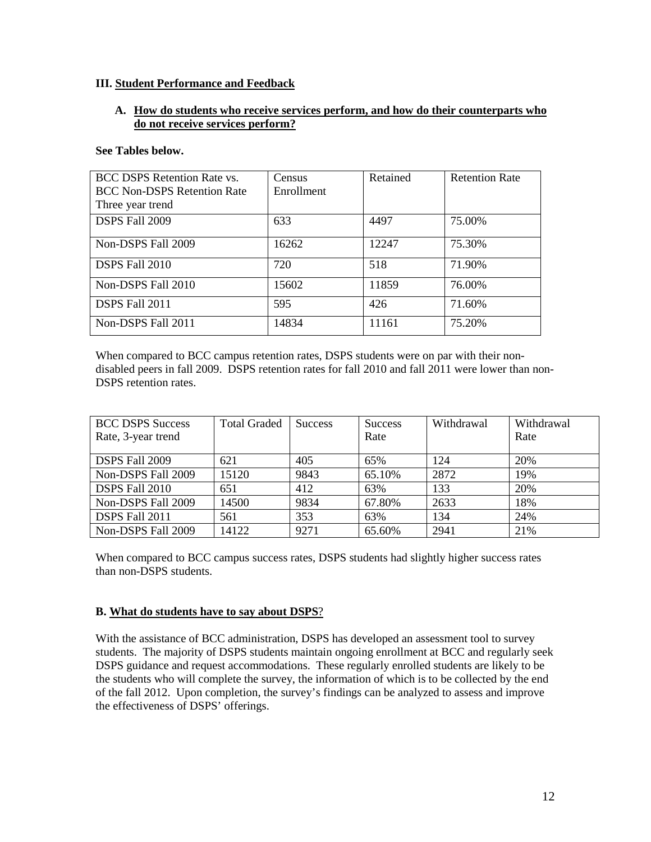### **III. Student Performance and Feedback**

### **A. How do students who receive services perform, and how do their counterparts who do not receive services perform?**

#### **See Tables below.**

| <b>BCC DSPS Retention Rate vs.</b> | Census     | Retained | <b>Retention Rate</b> |
|------------------------------------|------------|----------|-----------------------|
| <b>BCC Non-DSPS Retention Rate</b> | Enrollment |          |                       |
| Three year trend                   |            |          |                       |
| DSPS Fall 2009                     | 633        | 4497     | 75.00%                |
| Non-DSPS Fall 2009                 | 16262      | 12247    | 75.30%                |
| DSPS Fall 2010                     | 720        | 518      | 71.90%                |
| Non-DSPS Fall 2010                 | 15602      | 11859    | 76.00%                |
| DSPS Fall 2011                     | 595        | 426      | 71.60%                |
| Non-DSPS Fall 2011                 | 14834      | 11161    | 75.20%                |

When compared to BCC campus retention rates, DSPS students were on par with their nondisabled peers in fall 2009. DSPS retention rates for fall 2010 and fall 2011 were lower than non-DSPS retention rates.

| <b>BCC DSPS Success</b><br>Rate, 3-year trend | <b>Total Graded</b> | <b>Success</b> | <b>Success</b><br>Rate | Withdrawal | Withdrawal<br>Rate |
|-----------------------------------------------|---------------------|----------------|------------------------|------------|--------------------|
| DSPS Fall 2009                                | 621                 | 405            | 65%                    | 124        | 20%                |
| Non-DSPS Fall 2009                            | 15120               | 9843           | 65.10%                 | 2872       | 19%                |
| DSPS Fall 2010                                | 651                 | 412            | 63%                    | 133        | 20%                |
| Non-DSPS Fall 2009                            | 14500               | 9834           | 67.80%                 | 2633       | 18%                |
| DSPS Fall 2011                                | 561                 | 353            | 63%                    | 134        | 24%                |
| Non-DSPS Fall 2009                            | 14122               | 9271           | 65.60%                 | 2941       | 21%                |

When compared to BCC campus success rates, DSPS students had slightly higher success rates than non-DSPS students.

### **B. What do students have to say about DSPS**?

With the assistance of BCC administration, DSPS has developed an assessment tool to survey students. The majority of DSPS students maintain ongoing enrollment at BCC and regularly seek DSPS guidance and request accommodations. These regularly enrolled students are likely to be the students who will complete the survey, the information of which is to be collected by the end of the fall 2012. Upon completion, the survey's findings can be analyzed to assess and improve the effectiveness of DSPS' offerings.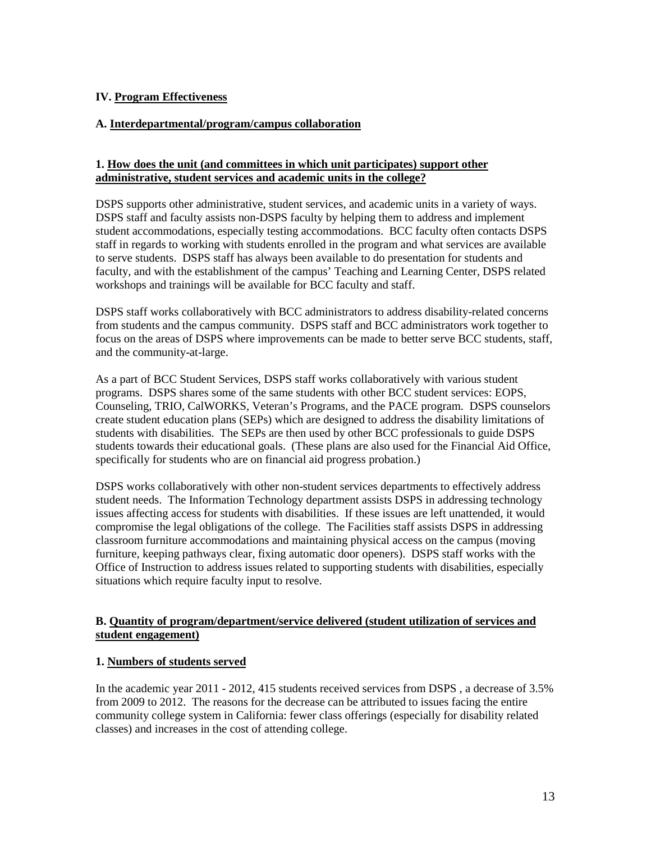# **IV. Program Effectiveness**

### **A. Interdepartmental/program/campus collaboration**

### **1. How does the unit (and committees in which unit participates) support other administrative, student services and academic units in the college?**

DSPS supports other administrative, student services, and academic units in a variety of ways. DSPS staff and faculty assists non-DSPS faculty by helping them to address and implement student accommodations, especially testing accommodations. BCC faculty often contacts DSPS staff in regards to working with students enrolled in the program and what services are available to serve students. DSPS staff has always been available to do presentation for students and faculty, and with the establishment of the campus' Teaching and Learning Center, DSPS related workshops and trainings will be available for BCC faculty and staff.

DSPS staff works collaboratively with BCC administrators to address disability-related concerns from students and the campus community. DSPS staff and BCC administrators work together to focus on the areas of DSPS where improvements can be made to better serve BCC students, staff, and the community-at-large.

As a part of BCC Student Services, DSPS staff works collaboratively with various student programs. DSPS shares some of the same students with other BCC student services: EOPS, Counseling, TRIO, CalWORKS, Veteran's Programs, and the PACE program. DSPS counselors create student education plans (SEPs) which are designed to address the disability limitations of students with disabilities. The SEPs are then used by other BCC professionals to guide DSPS students towards their educational goals. (These plans are also used for the Financial Aid Office, specifically for students who are on financial aid progress probation.)

DSPS works collaboratively with other non-student services departments to effectively address student needs. The Information Technology department assists DSPS in addressing technology issues affecting access for students with disabilities. If these issues are left unattended, it would compromise the legal obligations of the college. The Facilities staff assists DSPS in addressing classroom furniture accommodations and maintaining physical access on the campus (moving furniture, keeping pathways clear, fixing automatic door openers). DSPS staff works with the Office of Instruction to address issues related to supporting students with disabilities, especially situations which require faculty input to resolve.

### **B. Quantity of program/department/service delivered (student utilization of services and student engagement)**

### **1. Numbers of students served**

In the academic year 2011 - 2012, 415 students received services from DSPS , a decrease of 3.5% from 2009 to 2012. The reasons for the decrease can be attributed to issues facing the entire community college system in California: fewer class offerings (especially for disability related classes) and increases in the cost of attending college.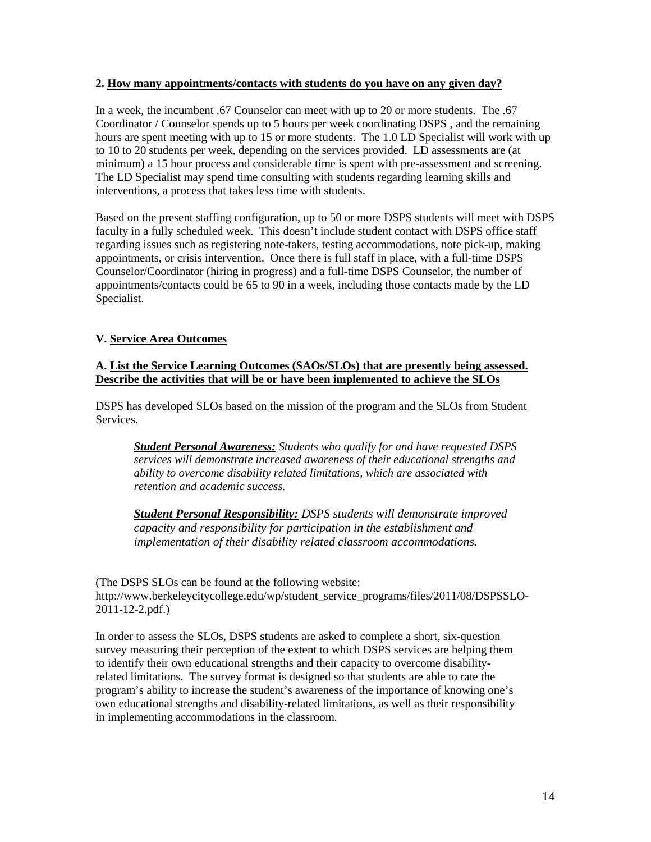#### **2. How many appointments/contacts with students do you have on any given day?**

In a week, the incumbent .67 Counselor can meet with up to 20 or more students. The .67 Coordinator / Counselor spends up to 5 hours per week coordinating DSPS , and the remaining hours are spent meeting with up to 15 or more students. The 1.0 LD Specialist will work with up to 10 to 20 students per week, depending on the services provided. LD assessments are (at minimum) a 15 hour process and considerable time is spent with pre-assessment and screening. The LD Specialist may spend time consulting with students regarding learning skills and interventions, a process that takes less time with students.

Based on the present staffing configuration, up to 50 or more DSPS students will meet with DSPS faculty in a fully scheduled week. This doesn't include student contact with DSPS office staff regarding issues such as registering note-takers, testing accommodations, note pick-up, making appointments, or crisis intervention. Once there is full staff in place, with a full-time DSPS Counselor/Coordinator (hiring in progress) and a full-time DSPS Counselor, the number of appointments/contacts could be 65 to 90 in a week, including those contacts made by the LD Specialist.

# **V. Service Area Outcomes**

# **A. List the Service Learning Outcomes (SAOs/SLOs) that are presently being assessed. Describe the activities that will be or have been implemented to achieve the SLOs**

DSPS has developed SLOs based on the mission of the program and the SLOs from Student Services.

*Student Personal Awareness: Students who qualify for and have requested DSPS services will demonstrate increased awareness of their educational strengths and ability to overcome disability related limitations, which are associated with retention and academic success.*

*Student Personal Responsibility: DSPS students will demonstrate improved capacity and responsibility for participation in the establishment and implementation of their disability related classroom accommodations.* 

(The DSPS SLOs can be found at the following website: http://www.berkeleycitycollege.edu/wp/student\_service\_programs/files/2011/08/DSPSSLO-2011-12-2.pdf.)

In order to assess the SLOs, DSPS students are asked to complete a short, six-question survey measuring their perception of the extent to which DSPS services are helping them to identify their own educational strengths and their capacity to overcome disabilityrelated limitations. The survey format is designed so that students are able to rate the program's ability to increase the student's awareness of the importance of knowing one's own educational strengths and disability-related limitations, as well as their responsibility in implementing accommodations in the classroom.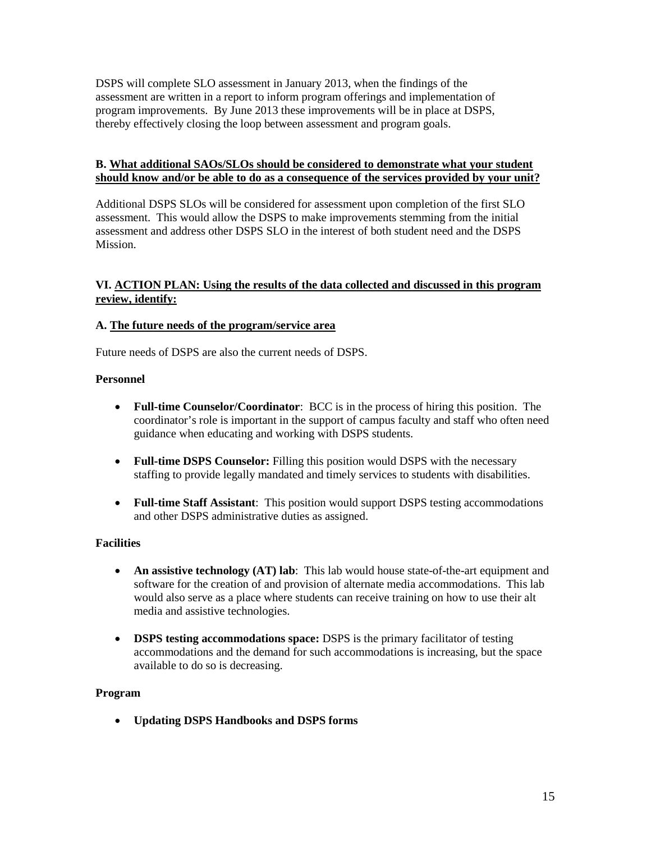DSPS will complete SLO assessment in January 2013, when the findings of the assessment are written in a report to inform program offerings and implementation of program improvements. By June 2013 these improvements will be in place at DSPS, thereby effectively closing the loop between assessment and program goals.

## **B. What additional SAOs/SLOs should be considered to demonstrate what your student should know and/or be able to do as a consequence of the services provided by your unit?**

Additional DSPS SLOs will be considered for assessment upon completion of the first SLO assessment. This would allow the DSPS to make improvements stemming from the initial assessment and address other DSPS SLO in the interest of both student need and the DSPS Mission.

# **VI. ACTION PLAN: Using the results of the data collected and discussed in this program review, identify:**

### **A. The future needs of the program/service area**

Future needs of DSPS are also the current needs of DSPS.

### **Personnel**

- **Full-time Counselor/Coordinator**: BCC is in the process of hiring this position. The coordinator's role is important in the support of campus faculty and staff who often need guidance when educating and working with DSPS students.
- **Full-time DSPS Counselor:** Filling this position would DSPS with the necessary staffing to provide legally mandated and timely services to students with disabilities.
- **Full-time Staff Assistant**: This position would support DSPS testing accommodations and other DSPS administrative duties as assigned.

### **Facilities**

- **An assistive technology (AT) lab**: This lab would house state-of-the-art equipment and software for the creation of and provision of alternate media accommodations. This lab would also serve as a place where students can receive training on how to use their alt media and assistive technologies.
- **DSPS testing accommodations space:** DSPS is the primary facilitator of testing accommodations and the demand for such accommodations is increasing, but the space available to do so is decreasing.

### **Program**

• **Updating DSPS Handbooks and DSPS forms**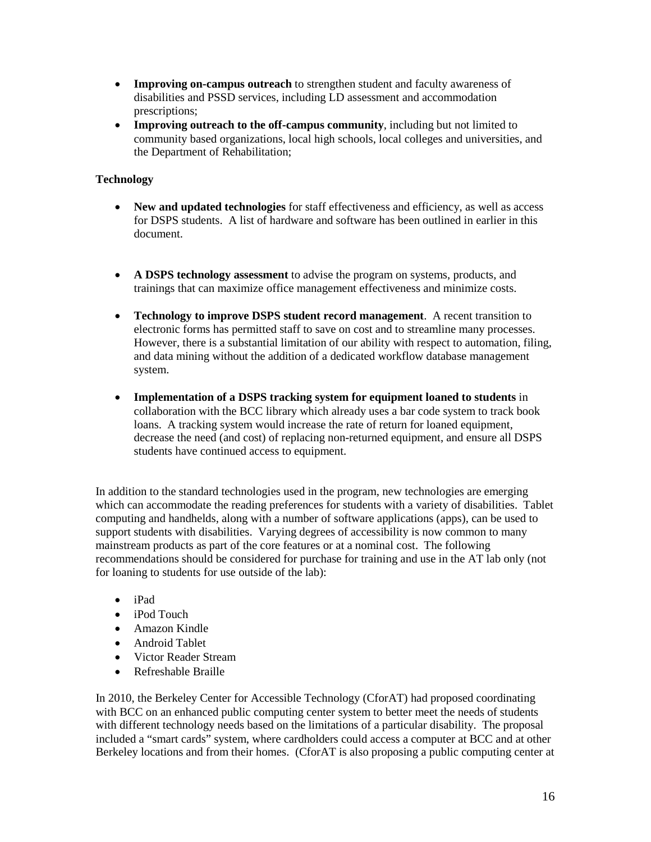- **Improving on-campus outreach** to strengthen student and faculty awareness of disabilities and PSSD services, including LD assessment and accommodation prescriptions;
- **Improving outreach to the off-campus community**, including but not limited to community based organizations, local high schools, local colleges and universities, and the Department of Rehabilitation;

# **Technology**

- **New and updated technologies** for staff effectiveness and efficiency, as well as access for DSPS students. A list of hardware and software has been outlined in earlier in this document.
- **A DSPS technology assessment** to advise the program on systems, products, and trainings that can maximize office management effectiveness and minimize costs.
- **Technology to improve DSPS student record management**. A recent transition to electronic forms has permitted staff to save on cost and to streamline many processes. However, there is a substantial limitation of our ability with respect to automation, filing, and data mining without the addition of a dedicated workflow database management system.
- **Implementation of a DSPS tracking system for equipment loaned to students** in collaboration with the BCC library which already uses a bar code system to track book loans. A tracking system would increase the rate of return for loaned equipment, decrease the need (and cost) of replacing non-returned equipment, and ensure all DSPS students have continued access to equipment.

In addition to the standard technologies used in the program, new technologies are emerging which can accommodate the reading preferences for students with a variety of disabilities. Tablet computing and handhelds, along with a number of software applications (apps), can be used to support students with disabilities. Varying degrees of accessibility is now common to many mainstream products as part of the core features or at a nominal cost. The following recommendations should be considered for purchase for training and use in the AT lab only (not for loaning to students for use outside of the lab):

- iPad
- iPod Touch
- Amazon Kindle
- Android Tablet
- Victor Reader Stream
- Refreshable Braille

In 2010, the Berkeley Center for Accessible Technology (CforAT) had proposed coordinating with BCC on an enhanced public computing center system to better meet the needs of students with different technology needs based on the limitations of a particular disability. The proposal included a "smart cards" system, where cardholders could access a computer at BCC and at other Berkeley locations and from their homes. (CforAT is also proposing a public computing center at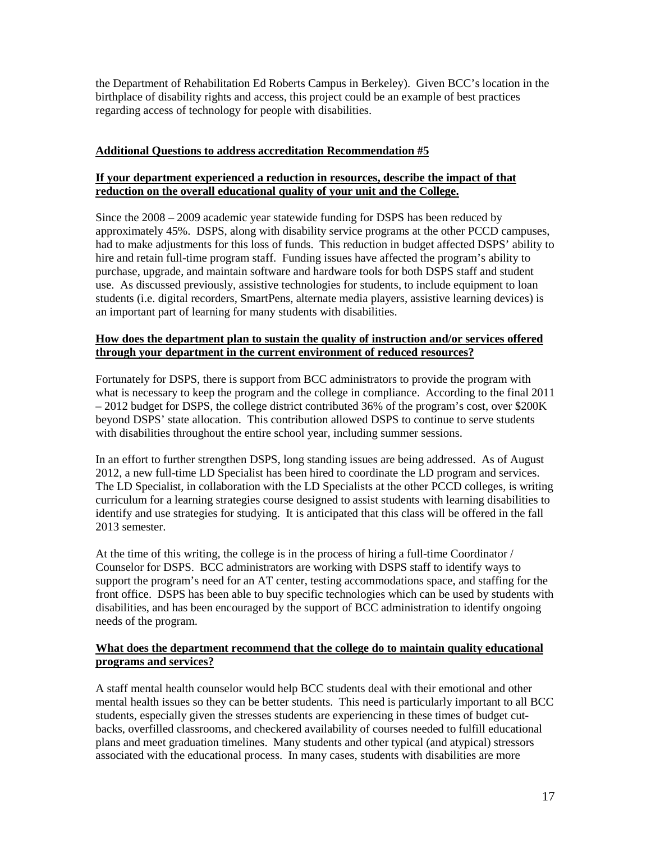the Department of Rehabilitation Ed Roberts Campus in Berkeley). Given BCC's location in the birthplace of disability rights and access, this project could be an example of best practices regarding access of technology for people with disabilities.

## **Additional Questions to address accreditation Recommendation #5**

# **If your department experienced a reduction in resources, describe the impact of that reduction on the overall educational quality of your unit and the College.**

Since the 2008 – 2009 academic year statewide funding for DSPS has been reduced by approximately 45%. DSPS, along with disability service programs at the other PCCD campuses, had to make adjustments for this loss of funds. This reduction in budget affected DSPS' ability to hire and retain full-time program staff. Funding issues have affected the program's ability to purchase, upgrade, and maintain software and hardware tools for both DSPS staff and student use. As discussed previously, assistive technologies for students, to include equipment to loan students (i.e. digital recorders, SmartPens, alternate media players, assistive learning devices) is an important part of learning for many students with disabilities.

## **How does the department plan to sustain the quality of instruction and/or services offered through your department in the current environment of reduced resources?**

Fortunately for DSPS, there is support from BCC administrators to provide the program with what is necessary to keep the program and the college in compliance. According to the final 2011 – 2012 budget for DSPS, the college district contributed 36% of the program's cost, over \$200K beyond DSPS' state allocation. This contribution allowed DSPS to continue to serve students with disabilities throughout the entire school year, including summer sessions.

In an effort to further strengthen DSPS, long standing issues are being addressed. As of August 2012, a new full-time LD Specialist has been hired to coordinate the LD program and services. The LD Specialist, in collaboration with the LD Specialists at the other PCCD colleges, is writing curriculum for a learning strategies course designed to assist students with learning disabilities to identify and use strategies for studying. It is anticipated that this class will be offered in the fall 2013 semester.

At the time of this writing, the college is in the process of hiring a full-time Coordinator / Counselor for DSPS. BCC administrators are working with DSPS staff to identify ways to support the program's need for an AT center, testing accommodations space, and staffing for the front office. DSPS has been able to buy specific technologies which can be used by students with disabilities, and has been encouraged by the support of BCC administration to identify ongoing needs of the program.

# **What does the department recommend that the college do to maintain quality educational programs and services?**

A staff mental health counselor would help BCC students deal with their emotional and other mental health issues so they can be better students. This need is particularly important to all BCC students, especially given the stresses students are experiencing in these times of budget cutbacks, overfilled classrooms, and checkered availability of courses needed to fulfill educational plans and meet graduation timelines. Many students and other typical (and atypical) stressors associated with the educational process. In many cases, students with disabilities are more